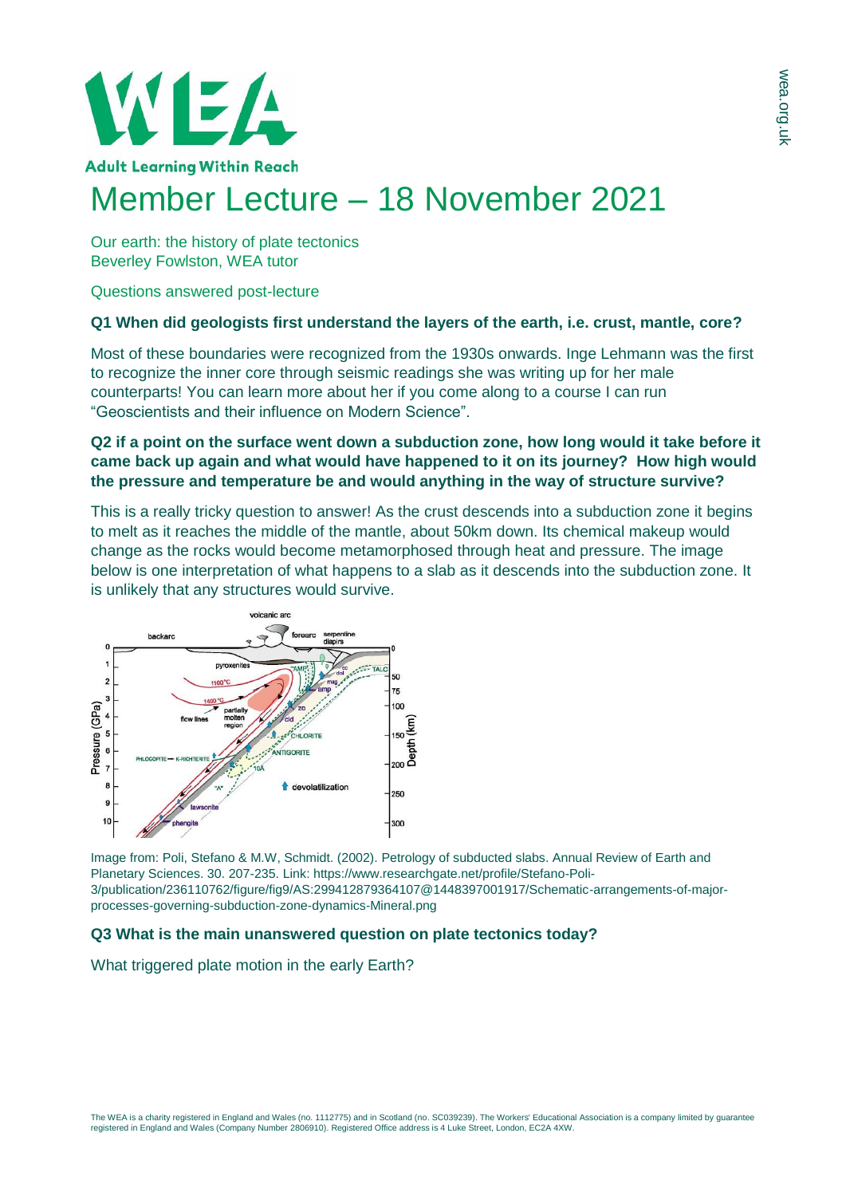

# Member Lecture – 18 November 2021

Our earth: the history of plate tectonics Beverley Fowlston, WEA tutor

Questions answered post-lecture

## **Q1 When did geologists first understand the layers of the earth, i.e. crust, mantle, core?**

Most of these boundaries were recognized from the 1930s onwards. Inge Lehmann was the first to recognize the inner core through seismic readings she was writing up for her male counterparts! You can learn more about her if you come along to a course I can run "Geoscientists and their influence on Modern Science".

## **Q2 if a point on the surface went down a subduction zone, how long would it take before it came back up again and what would have happened to it on its journey? How high would the pressure and temperature be and would anything in the way of structure survive?**

This is a really tricky question to answer! As the crust descends into a subduction zone it begins to melt as it reaches the middle of the mantle, about 50km down. Its chemical makeup would change as the rocks would become metamorphosed through heat and pressure. The image below is one interpretation of what happens to a slab as it descends into the subduction zone. It is unlikely that any structures would survive.



Image from: Poli, Stefano & M.W, Schmidt. (2002). Petrology of subducted slabs. Annual Review of Earth and Planetary Sciences. 30. 207-235. Link: https://www.researchgate.net/profile/Stefano-Poli-3/publication/236110762/figure/fig9/AS:299412879364107@1448397001917/Schematic-arrangements-of-majorprocesses-governing-subduction-zone-dynamics-Mineral.png

# **Q3 What is the main unanswered question on plate tectonics today?**

What triggered plate motion in the early Earth?